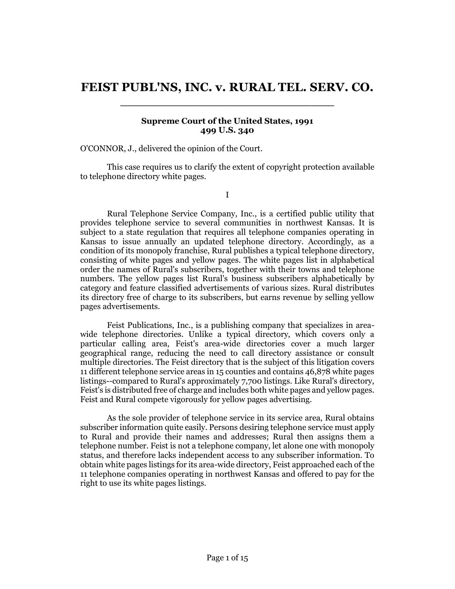# **FEIST PUBL'NS, INC. v. RURAL TEL. SERV. CO.** \_\_\_\_\_\_\_\_\_\_\_\_\_\_\_\_\_\_\_\_\_\_\_\_\_\_\_\_

## **Supreme Court of the United States, 1991 499 U.S. 340**

O'CONNOR, J., delivered the opinion of the Court.

This case requires us to clarify the extent of copyright protection available to telephone directory white pages.

I

Rural Telephone Service Company, Inc., is a certified public utility that provides telephone service to several communities in northwest Kansas. It is subject to a state regulation that requires all telephone companies operating in Kansas to issue annually an updated telephone directory. Accordingly, as a condition of its monopoly franchise, Rural publishes a typical telephone directory, consisting of white pages and yellow pages. The white pages list in alphabetical order the names of Rural's subscribers, together with their towns and telephone numbers. The yellow pages list Rural's business subscribers alphabetically by category and feature classified advertisements of various sizes. Rural distributes its directory free of charge to its subscribers, but earns revenue by selling yellow pages advertisements.

Feist Publications, Inc., is a publishing company that specializes in areawide telephone directories. Unlike a typical directory, which covers only a particular calling area, Feist's area-wide directories cover a much larger geographical range, reducing the need to call directory assistance or consult multiple directories. The Feist directory that is the subject of this litigation covers 11 different telephone service areas in 15 counties and contains 46,878 white pages listings--compared to Rural's approximately 7,700 listings. Like Rural's directory, Feist's is distributed free of charge and includes both white pages and yellow pages. Feist and Rural compete vigorously for yellow pages advertising.

As the sole provider of telephone service in its service area, Rural obtains subscriber information quite easily. Persons desiring telephone service must apply to Rural and provide their names and addresses; Rural then assigns them a telephone number. Feist is not a telephone company, let alone one with monopoly status, and therefore lacks independent access to any subscriber information. To obtain white pages listings for its area-wide directory, Feist approached each of the 11 telephone companies operating in northwest Kansas and offered to pay for the right to use its white pages listings.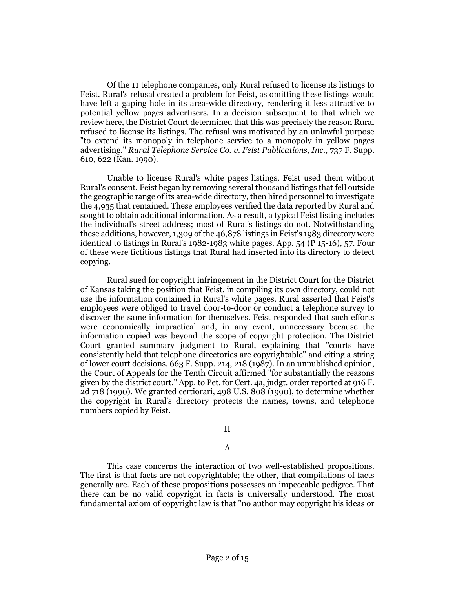Of the 11 telephone companies, only Rural refused to license its listings to Feist. Rural's refusal created a problem for Feist, as omitting these listings would have left a gaping hole in its area-wide directory, rendering it less attractive to potential yellow pages advertisers. In a decision subsequent to that which we review here, the District Court determined that this was precisely the reason Rural refused to license its listings. The refusal was motivated by an unlawful purpose "to extend its monopoly in telephone service to a monopoly in yellow pages advertising." *Rural Telephone Service Co. v. Feist Publications, Inc.*, 737 F. Supp. 610, 622 (Kan. 1990).

Unable to license Rural's white pages listings, Feist used them without Rural's consent. Feist began by removing several thousand listings that fell outside the geographic range of its area-wide directory, then hired personnel to investigate the 4,935 that remained. These employees verified the data reported by Rural and sought to obtain additional information. As a result, a typical Feist listing includes the individual's street address; most of Rural's listings do not. Notwithstanding these additions, however, 1,309 of the 46,878 listings in Feist's 1983 directory were identical to listings in Rural's 1982-1983 white pages. App. 54 (P 15-16), 57. Four of these were fictitious listings that Rural had inserted into its directory to detect copying.

Rural sued for copyright infringement in the District Court for the District of Kansas taking the position that Feist, in compiling its own directory, could not use the information contained in Rural's white pages. Rural asserted that Feist's employees were obliged to travel door-to-door or conduct a telephone survey to discover the same information for themselves. Feist responded that such efforts were economically impractical and, in any event, unnecessary because the information copied was beyond the scope of copyright protection. The District Court granted summary judgment to Rural, explaining that "courts have consistently held that telephone directories are copyrightable" and citing a string of lower court decisions. 663 F. Supp. 214, 218 (1987). In an unpublished opinion, the Court of Appeals for the Tenth Circuit affirmed "for substantially the reasons given by the district court." App. to Pet. for Cert. 4a, judgt. order reported at 916 F. 2d 718 (1990). We granted certiorari, 498 U.S. 808 (1990), to determine whether the copyright in Rural's directory protects the names, towns, and telephone numbers copied by Feist.

II

### A

This case concerns the interaction of two well-established propositions. The first is that facts are not copyrightable; the other, that compilations of facts generally are. Each of these propositions possesses an impeccable pedigree. That there can be no valid copyright in facts is universally understood. The most fundamental axiom of copyright law is that "no author may copyright his ideas or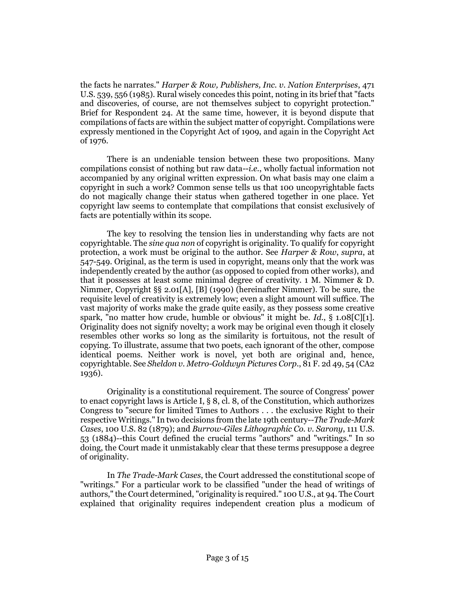the facts he narrates." *Harper & Row, Publishers, Inc. v. Nation Enterprises*, 471 U.S. 539, 556 (1985). Rural wisely concedes this point, noting in its brief that "facts and discoveries, of course, are not themselves subject to copyright protection." Brief for Respondent 24. At the same time, however, it is beyond dispute that compilations of facts are within the subject matter of copyright. Compilations were expressly mentioned in the Copyright Act of 1909, and again in the Copyright Act of 1976.

There is an undeniable tension between these two propositions. Many compilations consist of nothing but raw data--*i.e.*, wholly factual information not accompanied by any original written expression. On what basis may one claim a copyright in such a work? Common sense tells us that 100 uncopyrightable facts do not magically change their status when gathered together in one place. Yet copyright law seems to contemplate that compilations that consist exclusively of facts are potentially within its scope.

The key to resolving the tension lies in understanding why facts are not copyrightable. The *sine qua non* of copyright is originality. To qualify for copyright protection, a work must be original to the author. See *Harper & Row*, *supra*, at 547-549. Original, as the term is used in copyright, means only that the work was independently created by the author (as opposed to copied from other works), and that it possesses at least some minimal degree of creativity. 1 M. Nimmer & D. Nimmer, Copyright §§ 2.01[A], [B] (1990) (hereinafter Nimmer). To be sure, the requisite level of creativity is extremely low; even a slight amount will suffice. The vast majority of works make the grade quite easily, as they possess some creative spark, "no matter how crude, humble or obvious" it might be. *Id.*, § 1.08[C][1]. Originality does not signify novelty; a work may be original even though it closely resembles other works so long as the similarity is fortuitous, not the result of copying. To illustrate, assume that two poets, each ignorant of the other, compose identical poems. Neither work is novel, yet both are original and, hence, copyrightable. See *Sheldon v. Metro-Goldwyn Pictures Corp.*, 81 F. 2d 49, 54 (CA2 1936).

Originality is a constitutional requirement. The source of Congress' power to enact copyright laws is Article I, § 8, cl. 8, of the Constitution, which authorizes Congress to "secure for limited Times to Authors . . . the exclusive Right to their respective Writings." In two decisions from the late 19th century--*The Trade-Mark Cases*, 100 U.S. 82 (1879); and *Burrow-Giles Lithographic Co. v. Sarony*, 111 U.S. 53 (1884)--this Court defined the crucial terms "authors" and "writings." In so doing, the Court made it unmistakably clear that these terms presuppose a degree of originality.

In *The Trade-Mark Cases*, the Court addressed the constitutional scope of "writings." For a particular work to be classified "under the head of writings of authors," the Court determined, "originality is required." 100 U.S., at 94. The Court explained that originality requires independent creation plus a modicum of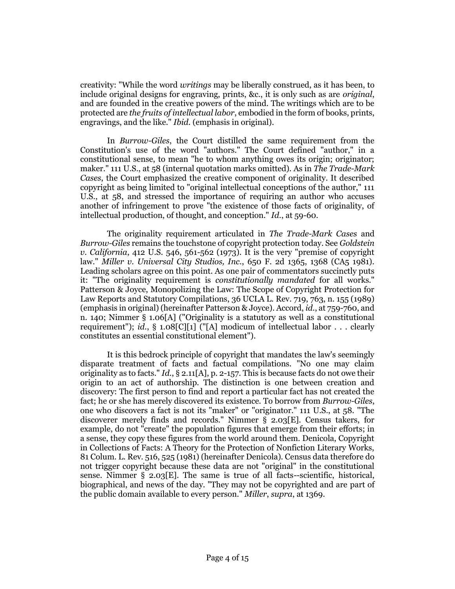creativity: "While the word *writings* may be liberally construed, as it has been, to include original designs for engraving, prints, &c., it is only such as are *original*, and are founded in the creative powers of the mind. The writings which are to be protected are *the fruits of intellectual labor*, embodied in the form of books, prints, engravings, and the like." *Ibid.* (emphasis in original).

In *Burrow-Giles*, the Court distilled the same requirement from the Constitution's use of the word "authors." The Court defined "author," in a constitutional sense, to mean "he to whom anything owes its origin; originator; maker." 111 U.S., at 58 (internal quotation marks omitted). As in *The Trade-Mark Cases*, the Court emphasized the creative component of originality. It described copyright as being limited to "original intellectual conceptions of the author," 111 U.S., at 58, and stressed the importance of requiring an author who accuses another of infringement to prove "the existence of those facts of originality, of intellectual production, of thought, and conception." *Id.*, at 59-60.

The originality requirement articulated in *The Trade-Mark Cases* and *Burrow-Giles* remains the touchstone of copyright protection today. See *Goldstein v. California*, 412 U.S. 546, 561-562 (1973). It is the very "premise of copyright law." *Miller v. Universal City Studios, Inc.*, 650 F. 2d 1365, 1368 (CA5 1981). Leading scholars agree on this point. As one pair of commentators succinctly puts it: "The originality requirement is *constitutionally mandated* for all works." Patterson & Joyce, Monopolizing the Law: The Scope of Copyright Protection for Law Reports and Statutory Compilations, 36 UCLA L. Rev. 719, 763, n. 155 (1989) (emphasis in original) (hereinafter Patterson & Joyce). Accord, *id.*, at 759-760, and n. 140; Nimmer § 1.06[A] ("Originality is a statutory as well as a constitutional requirement"); *id.*, § 1.08[C][1] ("[A] modicum of intellectual labor . . . clearly constitutes an essential constitutional element").

It is this bedrock principle of copyright that mandates the law's seemingly disparate treatment of facts and factual compilations. "No one may claim originality as to facts." *Id.*, § 2.11[A], p. 2-157. This is because facts do not owe their origin to an act of authorship. The distinction is one between creation and discovery: The first person to find and report a particular fact has not created the fact; he or she has merely discovered its existence. To borrow from *Burrow-Giles*, one who discovers a fact is not its "maker" or "originator." 111 U.S., at 58. "The discoverer merely finds and records." Nimmer § 2.03[E]. Census takers, for example, do not "create" the population figures that emerge from their efforts; in a sense, they copy these figures from the world around them. Denicola, Copyright in Collections of Facts: A Theory for the Protection of Nonfiction Literary Works, 81 Colum. L. Rev. 516, 525 (1981) (hereinafter Denicola). Census data therefore do not trigger copyright because these data are not "original" in the constitutional sense. Nimmer  $\S$  2.03[E]. The same is true of all facts--scientific, historical, biographical, and news of the day. "They may not be copyrighted and are part of the public domain available to every person." *Miller*, *supra*, at 1369.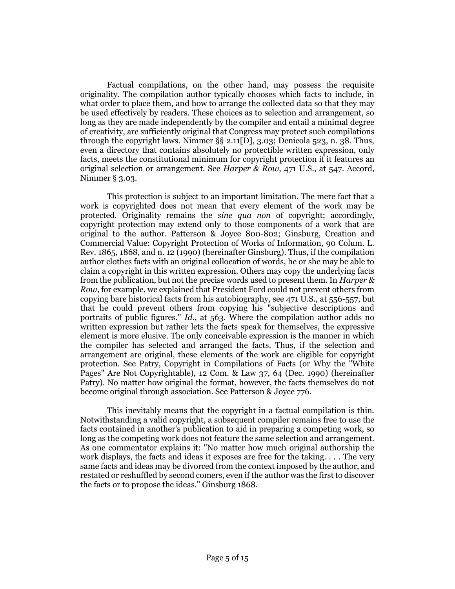Factual compilations, on the other hand, may possess the requisite originality. The compilation author typically chooses which facts to include, in what order to place them, and how to arrange the collected data so that they may be used effectively by readers. These choices as to selection and arrangement, so long as they are made independently by the compiler and entail a minimal degree of creativity, are sufficiently original that Congress may protect such compilations through the copyright laws. Nimmer  $\S$ § 2.11[D], 3.03; Denicola 523, n. 38. Thus, even a directory that contains absolutely no protectible written expression, only facts, meets the constitutional minimum for copyright protection if it features an original selection or arrangement. See *Harper & Row*, 471 U.S., at 547. Accord, Nimmer § 3.03.

This protection is subject to an important limitation. The mere fact that a work is copyrighted does not mean that every element of the work may be protected. Originality remains the *sine qua non* of copyright; accordingly, copyright protection may extend only to those components of a work that are original to the author. Patterson & Joyce 800-802; Ginsburg, Creation and Commercial Value: Copyright Protection of Works of Information, 90 Colum. L. Rev. 1865, 1868, and n. 12 (1990) (hereinafter Ginsburg). Thus, if the compilation author clothes facts with an original collocation of words, he or she may be able to claim a copyright in this written expression. Others may copy the underlying facts from the publication, but not the precise words used to present them. In *Harper & Row*, for example, we explained that President Ford could not prevent others from copying bare historical facts from his autobiography, see 471 U.S., at 556-557, but that he could prevent others from copying his "subjective descriptions and portraits of public figures." *Id.*, at 563. Where the compilation author adds no written expression but rather lets the facts speak for themselves, the expressive element is more elusive. The only conceivable expression is the manner in which the compiler has selected and arranged the facts. Thus, if the selection and arrangement are original, these elements of the work are eligible for copyright protection. See Patry, Copyright in Compilations of Facts (or Why the "White Pages" Are Not Copyrightable), 12 Com. & Law 37, 64 (Dec. 1990) (hereinafter Patry). No matter how original the format, however, the facts themselves do not become original through association. See Patterson & Joyce 776.

This inevitably means that the copyright in a factual compilation is thin. Notwithstanding a valid copyright, a subsequent compiler remains free to use the facts contained in another's publication to aid in preparing a competing work, so long as the competing work does not feature the same selection and arrangement. As one commentator explains it: "No matter how much original authorship the work displays, the facts and ideas it exposes are free for the taking. . . . The very same facts and ideas may be divorced from the context imposed by the author, and restated or reshuffled by second comers, even if the author was the first to discover the facts or to propose the ideas." Ginsburg 1868.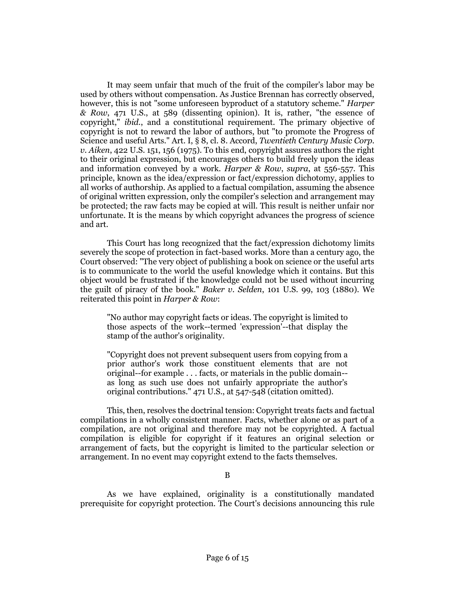It may seem unfair that much of the fruit of the compiler's labor may be used by others without compensation. As Justice Brennan has correctly observed, however, this is not "some unforeseen byproduct of a statutory scheme." *Harper & Row*, 471 U.S., at 589 (dissenting opinion). It is, rather, "the essence of copyright," *ibid.*, and a constitutional requirement. The primary objective of copyright is not to reward the labor of authors, but "to promote the Progress of Science and useful Arts." Art. I, § 8, cl. 8. Accord, *Twentieth Century Music Corp. v. Aiken*, 422 U.S. 151, 156 (1975). To this end, copyright assures authors the right to their original expression, but encourages others to build freely upon the ideas and information conveyed by a work. *Harper & Row*, *supra*, at 556-557. This principle, known as the idea/expression or fact/expression dichotomy, applies to all works of authorship. As applied to a factual compilation, assuming the absence of original written expression, only the compiler's selection and arrangement may be protected; the raw facts may be copied at will. This result is neither unfair nor unfortunate. It is the means by which copyright advances the progress of science and art.

This Court has long recognized that the fact/expression dichotomy limits severely the scope of protection in fact-based works. More than a century ago, the Court observed: "The very object of publishing a book on science or the useful arts is to communicate to the world the useful knowledge which it contains. But this object would be frustrated if the knowledge could not be used without incurring the guilt of piracy of the book." *Baker v. Selden*, 101 U.S. 99, 103 (1880). We reiterated this point in *Harper & Row*:

"No author may copyright facts or ideas. The copyright is limited to those aspects of the work--termed 'expression'--that display the stamp of the author's originality.

"Copyright does not prevent subsequent users from copying from a prior author's work those constituent elements that are not original--for example . . . facts, or materials in the public domain- as long as such use does not unfairly appropriate the author's original contributions." 471 U.S., at 547-548 (citation omitted).

This, then, resolves the doctrinal tension: Copyright treats facts and factual compilations in a wholly consistent manner. Facts, whether alone or as part of a compilation, are not original and therefore may not be copyrighted. A factual compilation is eligible for copyright if it features an original selection or arrangement of facts, but the copyright is limited to the particular selection or arrangement. In no event may copyright extend to the facts themselves.

#### B

As we have explained, originality is a constitutionally mandated prerequisite for copyright protection. The Court's decisions announcing this rule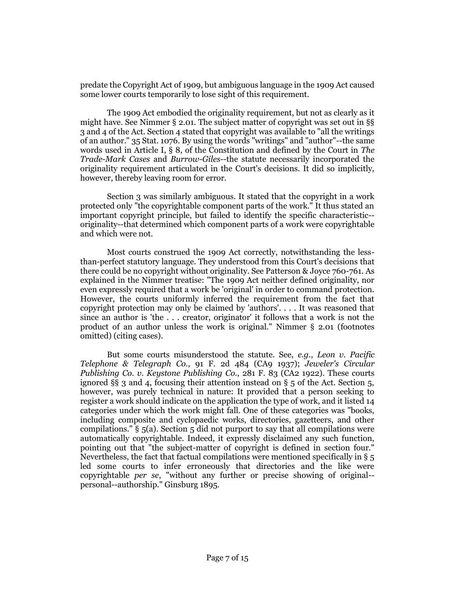predate the Copyright Act of 1909, but ambiguous language in the 1909 Act caused some lower courts temporarily to lose sight of this requirement.

The 1909 Act embodied the originality requirement, but not as clearly as it might have. See Nimmer § 2.01. The subject matter of copyright was set out in §§ 3 and 4 of the Act. Section 4 stated that copyright was available to "all the writings of an author." 35 Stat. 1076. By using the words "writings" and "author"--the same words used in Article I, § 8, of the Constitution and defined by the Court in *The Trade-Mark Cases* and *Burrow-Giles*--the statute necessarily incorporated the originality requirement articulated in the Court's decisions. It did so implicitly, however, thereby leaving room for error.

Section 3 was similarly ambiguous. It stated that the copyright in a work protected only "the copyrightable component parts of the work." It thus stated an important copyright principle, but failed to identify the specific characteristic- originality--that determined which component parts of a work were copyrightable and which were not.

Most courts construed the 1909 Act correctly, notwithstanding the lessthan-perfect statutory language. They understood from this Court's decisions that there could be no copyright without originality. See Patterson & Joyce 760-761. As explained in the Nimmer treatise: "The 1909 Act neither defined originality, nor even expressly required that a work be 'original' in order to command protection. However, the courts uniformly inferred the requirement from the fact that copyright protection may only be claimed by 'authors'. . . . It was reasoned that since an author is 'the . . . creator, originator' it follows that a work is not the product of an author unless the work is original." Nimmer § 2.01 (footnotes omitted) (citing cases).

But some courts misunderstood the statute. See, *e.g.*, *Leon v. Pacific Telephone & Telegraph Co.*, 91 F. 2d 484 (CA9 1937); *Jeweler's Circular Publishing Co. v. Keystone Publishing Co.*, 281 F. 83 (CA2 1922). These courts ignored §§ 3 and 4, focusing their attention instead on §  $\overline{5}$  of the Act. Section  $\overline{5}$ , however, was purely technical in nature: It provided that a person seeking to register a work should indicate on the application the type of work, and it listed 14 categories under which the work might fall. One of these categories was "books, including composite and cyclopaedic works, directories, gazetteers, and other compilations."  $\S$  5(a). Section 5 did not purport to say that all compilations were automatically copyrightable. Indeed, it expressly disclaimed any such function, pointing out that "the subject-matter of copyright is defined in section four." Nevertheless, the fact that factual compilations were mentioned specifically in § 5 led some courts to infer erroneously that directories and the like were copyrightable *per se*, "without any further or precise showing of original- personal--authorship." Ginsburg 1895.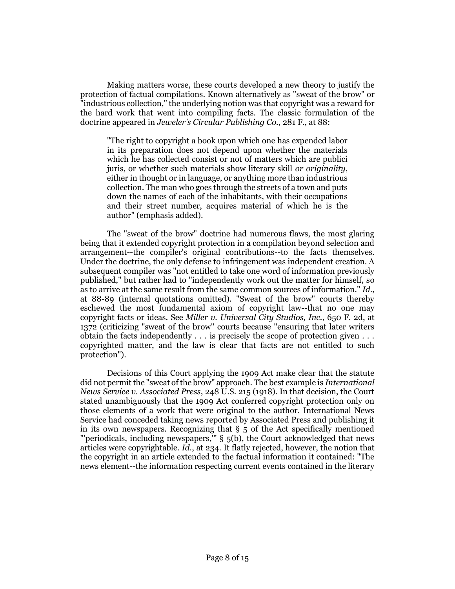Making matters worse, these courts developed a new theory to justify the protection of factual compilations. Known alternatively as "sweat of the brow" or "industrious collection," the underlying notion was that copyright was a reward for the hard work that went into compiling facts. The classic formulation of the doctrine appeared in *Jeweler's Circular Publishing Co.*, 281 F., at 88:

"The right to copyright a book upon which one has expended labor in its preparation does not depend upon whether the materials which he has collected consist or not of matters which are publici juris, or whether such materials show literary skill *or originality*, either in thought or in language, or anything more than industrious collection. The man who goes through the streets of a town and puts down the names of each of the inhabitants, with their occupations and their street number, acquires material of which he is the author" (emphasis added).

The "sweat of the brow" doctrine had numerous flaws, the most glaring being that it extended copyright protection in a compilation beyond selection and arrangement--the compiler's original contributions--to the facts themselves. Under the doctrine, the only defense to infringement was independent creation. A subsequent compiler was "not entitled to take one word of information previously published," but rather had to "independently work out the matter for himself, so as to arrive at the same result from the same common sources of information." *Id.*, at 88-89 (internal quotations omitted). "Sweat of the brow" courts thereby eschewed the most fundamental axiom of copyright law--that no one may copyright facts or ideas. See *Miller v. Universal City Studios, Inc.*, 650 F. 2d, at 1372 (criticizing "sweat of the brow" courts because "ensuring that later writers obtain the facts independently . . . is precisely the scope of protection given . . . copyrighted matter, and the law is clear that facts are not entitled to such protection").

Decisions of this Court applying the 1909 Act make clear that the statute did not permit the "sweat of the brow" approach. The best example is *International News Service v. Associated Press*, 248 U.S. 215 (1918). In that decision, the Court stated unambiguously that the 1909 Act conferred copyright protection only on those elements of a work that were original to the author. International News Service had conceded taking news reported by Associated Press and publishing it in its own newspapers. Recognizing that  $\S$  5 of the Act specifically mentioned "'periodicals, including newspapers,'" § 5(b), the Court acknowledged that news articles were copyrightable. *Id.*, at 234. It flatly rejected, however, the notion that the copyright in an article extended to the factual information it contained: "The news element--the information respecting current events contained in the literary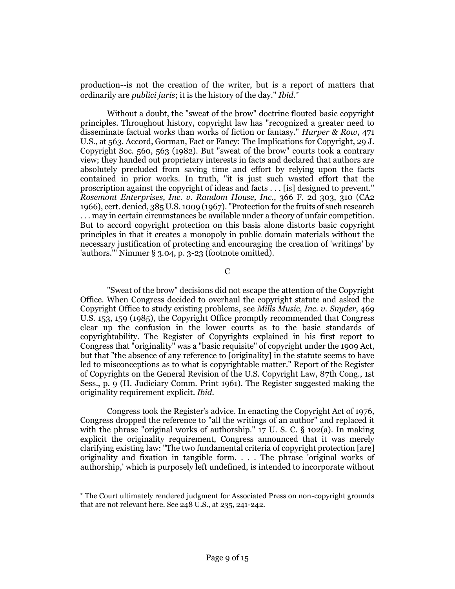production--is not the creation of the writer, but is a report of matters that ordinarily are *publici juris*; it is the history of the day." *Ibid.*

Without a doubt, the "sweat of the brow" doctrine flouted basic copyright principles. Throughout history, copyright law has "recognized a greater need to disseminate factual works than works of fiction or fantasy." *Harper & Row*, 471 U.S., at 563. Accord, Gorman, Fact or Fancy: The Implications for Copyright, 29 J. Copyright Soc. 560, 563 (1982). But "sweat of the brow" courts took a contrary view; they handed out proprietary interests in facts and declared that authors are absolutely precluded from saving time and effort by relying upon the facts contained in prior works. In truth, "it is just such wasted effort that the proscription against the copyright of ideas and facts . . . [is] designed to prevent." *Rosemont Enterprises, Inc. v. Random House, Inc.*, 366 F. 2d 303, 310 (CA2 1966), cert. denied, 385 U.S. 1009 (1967). "Protection for the fruits of such research . . . may in certain circumstances be available under a theory of unfair competition. But to accord copyright protection on this basis alone distorts basic copyright principles in that it creates a monopoly in public domain materials without the necessary justification of protecting and encouraging the creation of 'writings' by 'authors.'" Nimmer § 3.04, p. 3-23 (footnote omitted).

 $\mathcal{C}$ 

"Sweat of the brow" decisions did not escape the attention of the Copyright Office. When Congress decided to overhaul the copyright statute and asked the Copyright Office to study existing problems, see *Mills Music, Inc. v. Snyder*, 469 U.S. 153, 159 (1985), the Copyright Office promptly recommended that Congress clear up the confusion in the lower courts as to the basic standards of copyrightability. The Register of Copyrights explained in his first report to Congress that "originality" was a "basic requisite" of copyright under the 1909 Act, but that "the absence of any reference to [originality] in the statute seems to have led to misconceptions as to what is copyrightable matter." Report of the Register of Copyrights on the General Revision of the U.S. Copyright Law, 87th Cong., 1st Sess., p. 9 (H. Judiciary Comm. Print 1961). The Register suggested making the originality requirement explicit. *Ibid.*

Congress took the Register's advice. In enacting the Copyright Act of 1976, Congress dropped the reference to "all the writings of an author" and replaced it with the phrase "original works of authorship."  $17 \text{ U}$ . S. C. § 102(a). In making explicit the originality requirement, Congress announced that it was merely clarifying existing law: "The two fundamental criteria of copyright protection [are] originality and fixation in tangible form. . . . The phrase 'original works of authorship,' which is purposely left undefined, is intended to incorporate without

l

The Court ultimately rendered judgment for Associated Press on non-copyright grounds that are not relevant here. See 248 U.S., at 235, 241-242.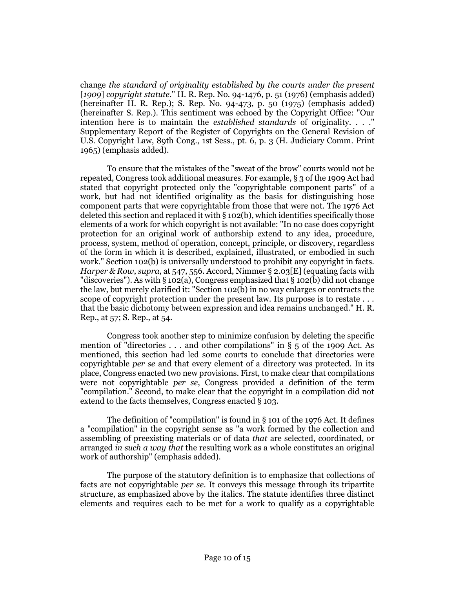change *the standard of originality established by the courts under the present* [*1909*] *copyright statute*." H. R. Rep. No. 94-1476, p. 51 (1976) (emphasis added) (hereinafter H. R. Rep.); S. Rep. No. 94-473, p. 50 (1975) (emphasis added) (hereinafter S. Rep.). This sentiment was echoed by the Copyright Office: "Our intention here is to maintain the *established standards* of originality. . . ." Supplementary Report of the Register of Copyrights on the General Revision of U.S. Copyright Law, 89th Cong., 1st Sess., pt. 6, p. 3 (H. Judiciary Comm. Print 1965) (emphasis added).

To ensure that the mistakes of the "sweat of the brow" courts would not be repeated, Congress took additional measures. For example, § 3 of the 1909 Act had stated that copyright protected only the "copyrightable component parts" of a work, but had not identified originality as the basis for distinguishing hose component parts that were copyrightable from those that were not. The 1976 Act deleted this section and replaced it with § 102(b), which identifies specifically those elements of a work for which copyright is not available: "In no case does copyright protection for an original work of authorship extend to any idea, procedure, process, system, method of operation, concept, principle, or discovery, regardless of the form in which it is described, explained, illustrated, or embodied in such work." Section 102(b) is universally understood to prohibit any copyright in facts. *Harper & Row*, *supra*, at 547, 556. Accord, Nimmer § 2.03[E] (equating facts with "discoveries"). As with  $\S 102(a)$ , Congress emphasized that  $\S 102(b)$  did not change the law, but merely clarified it: "Section 102(b) in no way enlarges or contracts the scope of copyright protection under the present law. Its purpose is to restate . . . that the basic dichotomy between expression and idea remains unchanged." H. R. Rep., at 57; S. Rep., at 54.

Congress took another step to minimize confusion by deleting the specific mention of "directories  $\dots$  and other compilations" in § 5 of the 1909 Act. As mentioned, this section had led some courts to conclude that directories were copyrightable *per se* and that every element of a directory was protected. In its place, Congress enacted two new provisions. First, to make clear that compilations were not copyrightable *per se*, Congress provided a definition of the term "compilation." Second, to make clear that the copyright in a compilation did not extend to the facts themselves, Congress enacted § 103.

The definition of "compilation" is found in § 101 of the 1976 Act. It defines a "compilation" in the copyright sense as "a work formed by the collection and assembling of preexisting materials or of data *that* are selected, coordinated, or arranged *in such a way that* the resulting work as a whole constitutes an original work of authorship" (emphasis added).

The purpose of the statutory definition is to emphasize that collections of facts are not copyrightable *per se*. It conveys this message through its tripartite structure, as emphasized above by the italics. The statute identifies three distinct elements and requires each to be met for a work to qualify as a copyrightable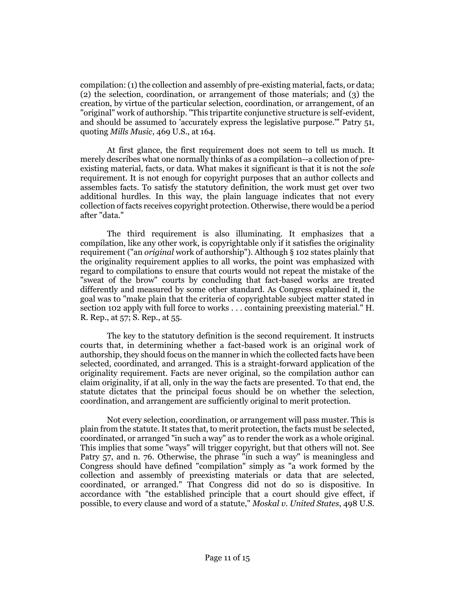compilation: (1) the collection and assembly of pre-existing material, facts, or data; (2) the selection, coordination, or arrangement of those materials; and (3) the creation, by virtue of the particular selection, coordination, or arrangement, of an "original" work of authorship. "This tripartite conjunctive structure is self-evident, and should be assumed to 'accurately express the legislative purpose.'" Patry 51, quoting *Mills Music*, 469 U.S., at 164.

At first glance, the first requirement does not seem to tell us much. It merely describes what one normally thinks of as a compilation--a collection of preexisting material, facts, or data. What makes it significant is that it is not the *sole* requirement. It is not enough for copyright purposes that an author collects and assembles facts. To satisfy the statutory definition, the work must get over two additional hurdles. In this way, the plain language indicates that not every collection of facts receives copyright protection. Otherwise, there would be a period after "data."

The third requirement is also illuminating. It emphasizes that a compilation, like any other work, is copyrightable only if it satisfies the originality requirement ("an *original* work of authorship"). Although § 102 states plainly that the originality requirement applies to all works, the point was emphasized with regard to compilations to ensure that courts would not repeat the mistake of the "sweat of the brow" courts by concluding that fact-based works are treated differently and measured by some other standard. As Congress explained it, the goal was to "make plain that the criteria of copyrightable subject matter stated in section 102 apply with full force to works . . . containing preexisting material." H. R. Rep., at 57; S. Rep., at 55.

The key to the statutory definition is the second requirement. It instructs courts that, in determining whether a fact-based work is an original work of authorship, they should focus on the manner in which the collected facts have been selected, coordinated, and arranged. This is a straight-forward application of the originality requirement. Facts are never original, so the compilation author can claim originality, if at all, only in the way the facts are presented. To that end, the statute dictates that the principal focus should be on whether the selection, coordination, and arrangement are sufficiently original to merit protection.

Not every selection, coordination, or arrangement will pass muster. This is plain from the statute. It states that, to merit protection, the facts must be selected, coordinated, or arranged "in such a way" as to render the work as a whole original. This implies that some "ways" will trigger copyright, but that others will not. See Patry 57, and n. 76. Otherwise, the phrase "in such a way" is meaningless and Congress should have defined "compilation" simply as "a work formed by the collection and assembly of preexisting materials or data that are selected, coordinated, or arranged." That Congress did not do so is dispositive. In accordance with "the established principle that a court should give effect, if possible, to every clause and word of a statute," *Moskal v. United States*, 498 U.S.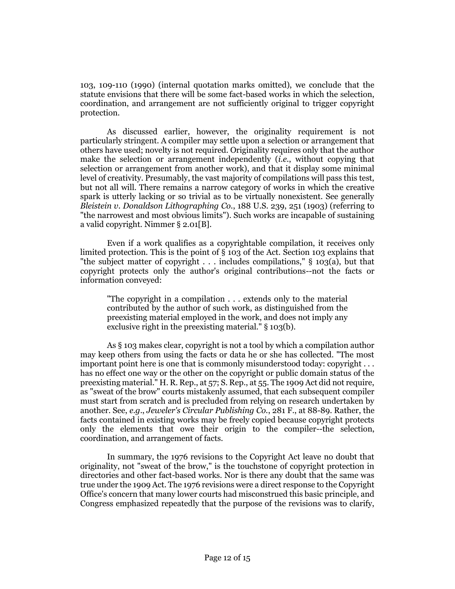103, 109-110 (1990) (internal quotation marks omitted), we conclude that the statute envisions that there will be some fact-based works in which the selection, coordination, and arrangement are not sufficiently original to trigger copyright protection.

As discussed earlier, however, the originality requirement is not particularly stringent. A compiler may settle upon a selection or arrangement that others have used; novelty is not required. Originality requires only that the author make the selection or arrangement independently (*i.e.*, without copying that selection or arrangement from another work), and that it display some minimal level of creativity. Presumably, the vast majority of compilations will pass this test, but not all will. There remains a narrow category of works in which the creative spark is utterly lacking or so trivial as to be virtually nonexistent. See generally *Bleistein v. Donaldson Lithographing Co.*, 188 U.S. 239, 251 (1903) (referring to "the narrowest and most obvious limits"). Such works are incapable of sustaining a valid copyright. Nimmer § 2.01[B].

Even if a work qualifies as a copyrightable compilation, it receives only limited protection. This is the point of § 103 of the Act. Section 103 explains that "the subject matter of copyright . . . includes compilations," § 103(a), but that copyright protects only the author's original contributions--not the facts or information conveyed:

"The copyright in a compilation . . . extends only to the material contributed by the author of such work, as distinguished from the preexisting material employed in the work, and does not imply any exclusive right in the preexisting material." § 103(b).

As § 103 makes clear, copyright is not a tool by which a compilation author may keep others from using the facts or data he or she has collected. "The most important point here is one that is commonly misunderstood today: copyright . . . has no effect one way or the other on the copyright or public domain status of the preexisting material." H. R. Rep., at 57; S. Rep., at 55. The 1909 Act did not require, as "sweat of the brow" courts mistakenly assumed, that each subsequent compiler must start from scratch and is precluded from relying on research undertaken by another. See, *e.g.*, *Jeweler's Circular Publishing Co.*, 281 F., at 88-89. Rather, the facts contained in existing works may be freely copied because copyright protects only the elements that owe their origin to the compiler--the selection, coordination, and arrangement of facts.

In summary, the 1976 revisions to the Copyright Act leave no doubt that originality, not "sweat of the brow," is the touchstone of copyright protection in directories and other fact-based works. Nor is there any doubt that the same was true under the 1909 Act. The 1976 revisions were a direct response to the Copyright Office's concern that many lower courts had misconstrued this basic principle, and Congress emphasized repeatedly that the purpose of the revisions was to clarify,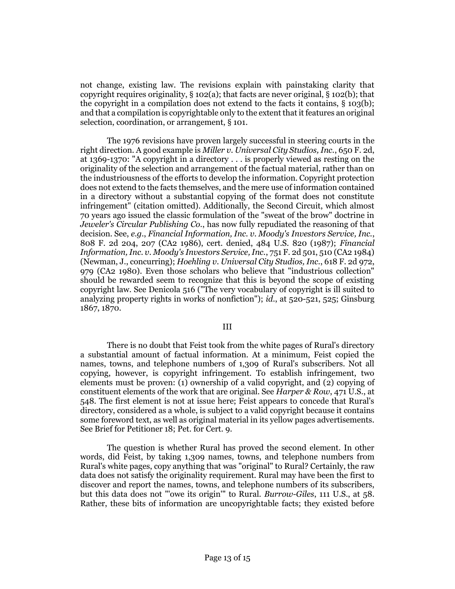not change, existing law. The revisions explain with painstaking clarity that copyright requires originality, § 102(a); that facts are never original, § 102(b); that the copyright in a compilation does not extend to the facts it contains, § 103(b); and that a compilation is copyrightable only to the extent that it features an original selection, coordination, or arrangement, § 101.

The 1976 revisions have proven largely successful in steering courts in the right direction. A good example is *Miller v. Universal City Studios, Inc.*, 650 F. 2d, at 1369-1370: "A copyright in a directory . . . is properly viewed as resting on the originality of the selection and arrangement of the factual material, rather than on the industriousness of the efforts to develop the information. Copyright protection does not extend to the facts themselves, and the mere use of information contained in a directory without a substantial copying of the format does not constitute infringement" (citation omitted). Additionally, the Second Circuit, which almost 70 years ago issued the classic formulation of the "sweat of the brow" doctrine in *Jeweler's Circular Publishing Co.*, has now fully repudiated the reasoning of that decision. See, *e.g.*, *Financial Information, Inc. v. Moody's Investors Service, Inc.*, 808 F. 2d 204, 207 (CA2 1986), cert. denied, 484 U.S. 820 (1987); *Financial Information, Inc. v. Moody's Investors Service, Inc.*, 751 F. 2d 501, 510 (CA2 1984) (Newman, J., concurring); *Hoehling v. Universal City Studios, Inc.*, 618 F. 2d 972, 979 (CA2 1980). Even those scholars who believe that "industrious collection" should be rewarded seem to recognize that this is beyond the scope of existing copyright law. See Denicola 516 ("The very vocabulary of copyright is ill suited to analyzing property rights in works of nonfiction"); *id.*, at 520-521, 525; Ginsburg 1867, 1870.

### III

There is no doubt that Feist took from the white pages of Rural's directory a substantial amount of factual information. At a minimum, Feist copied the names, towns, and telephone numbers of 1,309 of Rural's subscribers. Not all copying, however, is copyright infringement. To establish infringement, two elements must be proven: (1) ownership of a valid copyright, and (2) copying of constituent elements of the work that are original. See *Harper & Row*, 471 U.S., at 548. The first element is not at issue here; Feist appears to concede that Rural's directory, considered as a whole, is subject to a valid copyright because it contains some foreword text, as well as original material in its yellow pages advertisements. See Brief for Petitioner 18; Pet. for Cert. 9.

The question is whether Rural has proved the second element. In other words, did Feist, by taking 1,309 names, towns, and telephone numbers from Rural's white pages, copy anything that was "original" to Rural? Certainly, the raw data does not satisfy the originality requirement. Rural may have been the first to discover and report the names, towns, and telephone numbers of its subscribers, but this data does not "'owe its origin'" to Rural. *Burrow-Giles*, 111 U.S., at 58. Rather, these bits of information are uncopyrightable facts; they existed before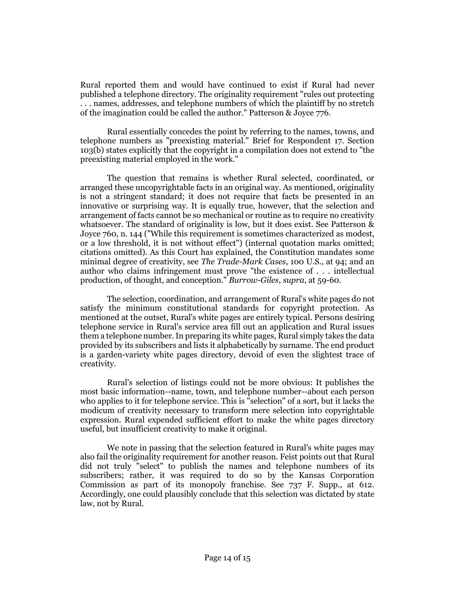Rural reported them and would have continued to exist if Rural had never published a telephone directory. The originality requirement "rules out protecting ... names, addresses, and telephone numbers of which the plaintiff by no stretch of the imagination could be called the author." Patterson & Joyce 776.

Rural essentially concedes the point by referring to the names, towns, and telephone numbers as "preexisting material." Brief for Respondent 17. Section 103(b) states explicitly that the copyright in a compilation does not extend to "the preexisting material employed in the work."

The question that remains is whether Rural selected, coordinated, or arranged these uncopyrightable facts in an original way. As mentioned, originality is not a stringent standard; it does not require that facts be presented in an innovative or surprising way. It is equally true, however, that the selection and arrangement of facts cannot be so mechanical or routine as to require no creativity whatsoever. The standard of originality is low, but it does exist. See Patterson & Joyce 760, n. 144 ("While this requirement is sometimes characterized as modest, or a low threshold, it is not without effect") (internal quotation marks omitted; citations omitted). As this Court has explained, the Constitution mandates some minimal degree of creativity, see *The Trade-Mark Cases*, 100 U.S., at 94; and an author who claims infringement must prove "the existence of . . . intellectual production, of thought, and conception." *Burrow-Giles*, *supra*, at 59-60.

The selection, coordination, and arrangement of Rural's white pages do not satisfy the minimum constitutional standards for copyright protection. As mentioned at the outset, Rural's white pages are entirely typical. Persons desiring telephone service in Rural's service area fill out an application and Rural issues them a telephone number. In preparing its white pages, Rural simply takes the data provided by its subscribers and lists it alphabetically by surname. The end product is a garden-variety white pages directory, devoid of even the slightest trace of creativity.

Rural's selection of listings could not be more obvious: It publishes the most basic information--name, town, and telephone number--about each person who applies to it for telephone service. This is "selection" of a sort, but it lacks the modicum of creativity necessary to transform mere selection into copyrightable expression. Rural expended sufficient effort to make the white pages directory useful, but insufficient creativity to make it original.

We note in passing that the selection featured in Rural's white pages may also fail the originality requirement for another reason. Feist points out that Rural did not truly "select" to publish the names and telephone numbers of its subscribers; rather, it was required to do so by the Kansas Corporation Commission as part of its monopoly franchise. See 737 F. Supp., at 612. Accordingly, one could plausibly conclude that this selection was dictated by state law, not by Rural.